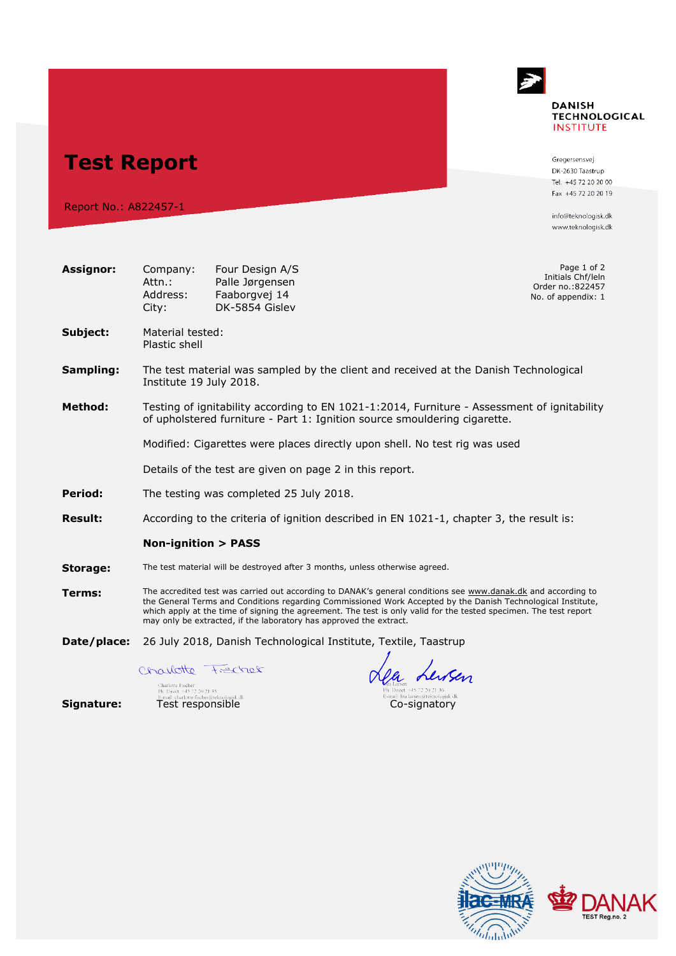## **DANISH TECHNOLOGICAL INSTITUTE**

**Test Report**

Report No.: A822457-1

Gregersensvej DK-2630 Taastrup Tel. +45 72 20 20 00 Fax +45 72 20 20 19

info@teknologisk.dk www.teknologisk.dk

| <b>Assignor:</b> | Company:<br>Attn.:<br>Address:<br>City:                                                                                                                                                                                                                                                                                                                                                                                  | Four Design A/S<br>Palle Jørgensen<br>Faaborgvej 14<br>DK-5854 Gisley        |  | Page 1 of 2<br>Initials Chf/leln<br>Order no.: 822457<br>No. of appendix: 1          |  |  |
|------------------|--------------------------------------------------------------------------------------------------------------------------------------------------------------------------------------------------------------------------------------------------------------------------------------------------------------------------------------------------------------------------------------------------------------------------|------------------------------------------------------------------------------|--|--------------------------------------------------------------------------------------|--|--|
| Subject:         | Material tested:<br>Plastic shell                                                                                                                                                                                                                                                                                                                                                                                        |                                                                              |  |                                                                                      |  |  |
| Sampling:        | Institute 19 July 2018.                                                                                                                                                                                                                                                                                                                                                                                                  |                                                                              |  | The test material was sampled by the client and received at the Danish Technological |  |  |
| <b>Method:</b>   | Testing of ignitability according to EN 1021-1:2014, Furniture - Assessment of ignitability<br>of upholstered furniture - Part 1: Ignition source smouldering cigarette.                                                                                                                                                                                                                                                 |                                                                              |  |                                                                                      |  |  |
|                  | Modified: Cigarettes were places directly upon shell. No test rig was used                                                                                                                                                                                                                                                                                                                                               |                                                                              |  |                                                                                      |  |  |
|                  | Details of the test are given on page 2 in this report.                                                                                                                                                                                                                                                                                                                                                                  |                                                                              |  |                                                                                      |  |  |
| Period:          |                                                                                                                                                                                                                                                                                                                                                                                                                          | The testing was completed 25 July 2018.                                      |  |                                                                                      |  |  |
| <b>Result:</b>   | According to the criteria of ignition described in EN 1021-1, chapter 3, the result is:                                                                                                                                                                                                                                                                                                                                  |                                                                              |  |                                                                                      |  |  |
|                  | <b>Non-ignition &gt; PASS</b>                                                                                                                                                                                                                                                                                                                                                                                            |                                                                              |  |                                                                                      |  |  |
| Storage:         |                                                                                                                                                                                                                                                                                                                                                                                                                          | The test material will be destroyed after 3 months, unless otherwise agreed. |  |                                                                                      |  |  |
| Terms:           | The accredited test was carried out according to DANAK's general conditions see www.danak.dk and according to<br>the General Terms and Conditions regarding Commissioned Work Accepted by the Danish Technological Institute,<br>which apply at the time of signing the agreement. The test is only valid for the tested specimen. The test report<br>may only be extracted, if the laboratory has approved the extract. |                                                                              |  |                                                                                      |  |  |
| Date/place:      | 26 July 2018, Danish Technological Institute, Textile, Taastrup                                                                                                                                                                                                                                                                                                                                                          |                                                                              |  |                                                                                      |  |  |
|                  | Charlotte Frecher                                                                                                                                                                                                                                                                                                                                                                                                        |                                                                              |  | $n_e$ $\frac{1}{2}$                                                                  |  |  |

Collect Fischer (State of Test responsible Co-signature: Test responsible Co-signature: Test responsible Co-signatory

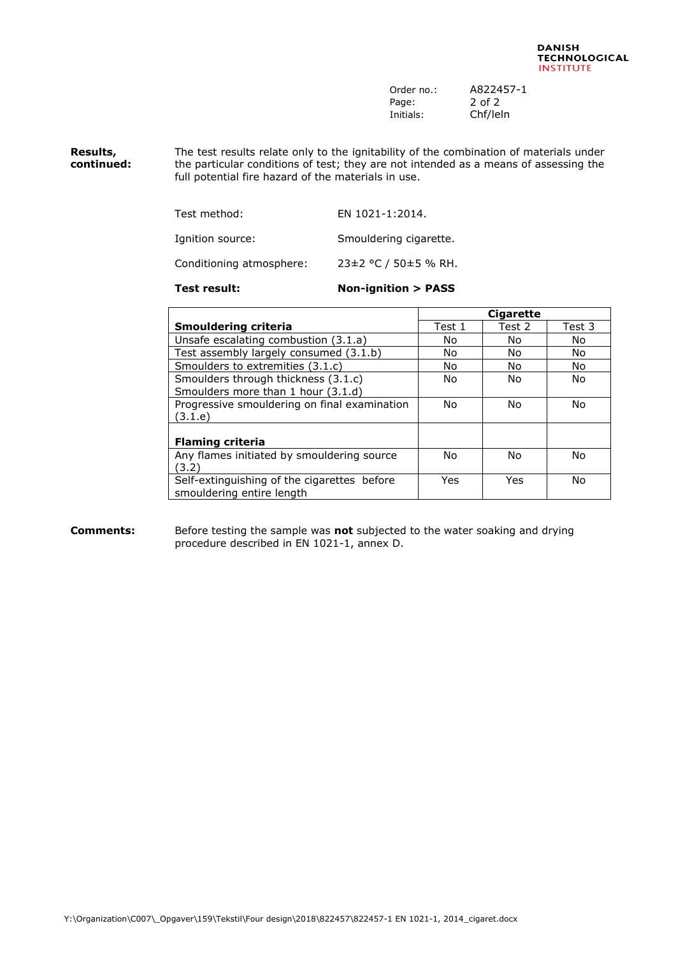| Order no.: | A822457-1 |
|------------|-----------|
| Page:      | 2 of 2    |
| Initials:  | Chf/leln  |

**Results, continued:** The test results relate only to the ignitability of the combination of materials under the particular conditions of test; they are not intended as a means of assessing the full potential fire hazard of the materials in use.

| Test method:             | EN 1021-1:2014.        |
|--------------------------|------------------------|
| Ignition source:         | Smouldering cigarette. |
| Conditioning atmosphere: | 23±2 °C / 50±5 % RH.   |

## **Test result: Non-ignition > PASS**

|                                              | <b>Cigarette</b> |        |        |
|----------------------------------------------|------------------|--------|--------|
| <b>Smouldering criteria</b>                  | Test 1           | Test 2 | Test 3 |
| Unsafe escalating combustion (3.1.a)         | No               | No.    | No     |
| Test assembly largely consumed (3.1.b)       | No               | No.    | No     |
| Smoulders to extremities (3.1.c)             | No               | No.    | No     |
| Smoulders through thickness (3.1.c)          | No               | No.    | No.    |
| Smoulders more than 1 hour (3.1.d)           |                  |        |        |
| Progressive smouldering on final examination | No               | No.    | No.    |
| (3.1.e)                                      |                  |        |        |
|                                              |                  |        |        |
| <b>Flaming criteria</b>                      |                  |        |        |
| Any flames initiated by smouldering source   | No.              | No     | No.    |
| (3.2)                                        |                  |        |        |
| Self-extinguishing of the cigarettes before  | Yes              | Yes    | No     |
| smouldering entire length                    |                  |        |        |

## **Comments:** Before testing the sample was **not** subjected to the water soaking and drying procedure described in EN 1021-1, annex D.